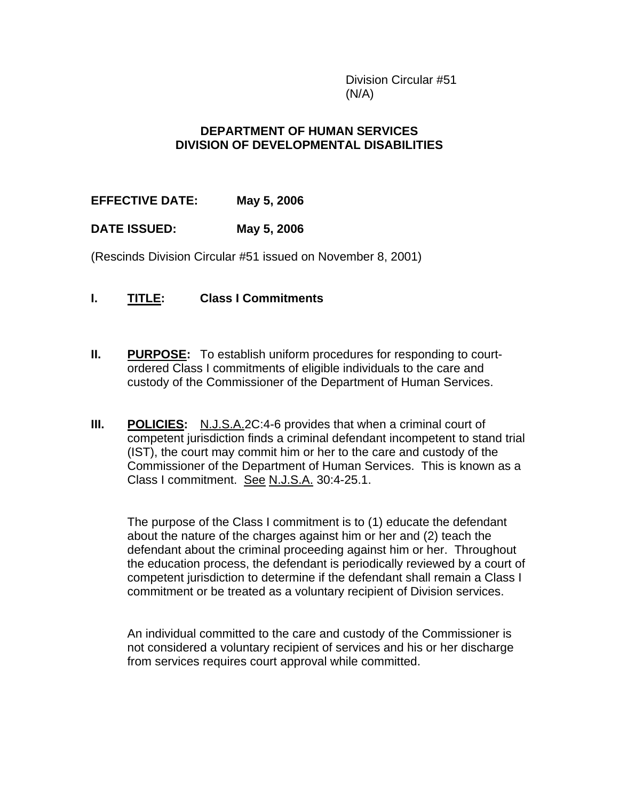Division Circular #51  $(N/A)$ 

## **DEPARTMENT OF HUMAN SERVICES DIVISION OF DEVELOPMENTAL DISABILITIES**

**EFFECTIVE DATE: May 5, 2006** 

# **DATE ISSUED: May 5, 2006**

(Rescinds Division Circular #51 issued on November 8, 2001)

- **I. TITLE: Class I Commitments**
- **II. PURPOSE:** To establish uniform procedures for responding to courtordered Class I commitments of eligible individuals to the care and custody of the Commissioner of the Department of Human Services.
- **III.** POLICIES: N.J.S.A.2C:4-6 provides that when a criminal court of competent jurisdiction finds a criminal defendant incompetent to stand trial (IST), the court may commit him or her to the care and custody of the Commissioner of the Department of Human Services. This is known as a Class I commitment. See N.J.S.A. 30:4-25.1.

The purpose of the Class I commitment is to (1) educate the defendant about the nature of the charges against him or her and (2) teach the defendant about the criminal proceeding against him or her. Throughout the education process, the defendant is periodically reviewed by a court of competent jurisdiction to determine if the defendant shall remain a Class I commitment or be treated as a voluntary recipient of Division services.

An individual committed to the care and custody of the Commissioner is not considered a voluntary recipient of services and his or her discharge from services requires court approval while committed.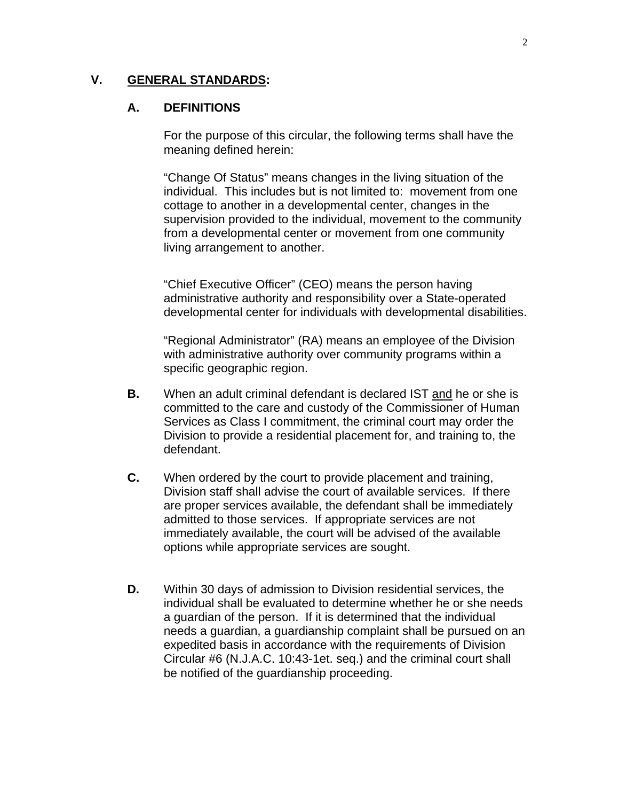### **V. GENERAL STANDARDS:**

#### **A. DEFINITIONS**

For the purpose of this circular, the following terms shall have the meaning defined herein:

"Change Of Status" means changes in the living situation of the individual. This includes but is not limited to: movement from one cottage to another in a developmental center, changes in the supervision provided to the individual, movement to the community from a developmental center or movement from one community living arrangement to another.

"Chief Executive Officer" (CEO) means the person having administrative authority and responsibility over a State-operated developmental center for individuals with developmental disabilities.

 "Regional Administrator" (RA) means an employee of the Division with administrative authority over community programs within a specific geographic region.

- **B.** When an adult criminal defendant is declared IST and he or she is committed to the care and custody of the Commissioner of Human Services as Class I commitment, the criminal court may order the Division to provide a residential placement for, and training to, the defendant.
- **C.** When ordered by the court to provide placement and training, Division staff shall advise the court of available services. If there are proper services available, the defendant shall be immediately admitted to those services. If appropriate services are not immediately available, the court will be advised of the available options while appropriate services are sought.
- **D.** Within 30 days of admission to Division residential services, the individual shall be evaluated to determine whether he or she needs a guardian of the person. If it is determined that the individual needs a guardian, a guardianship complaint shall be pursued on an expedited basis in accordance with the requirements of Division Circular #6 (N.J.A.C. 10:43-1et. seq.) and the criminal court shall be notified of the guardianship proceeding.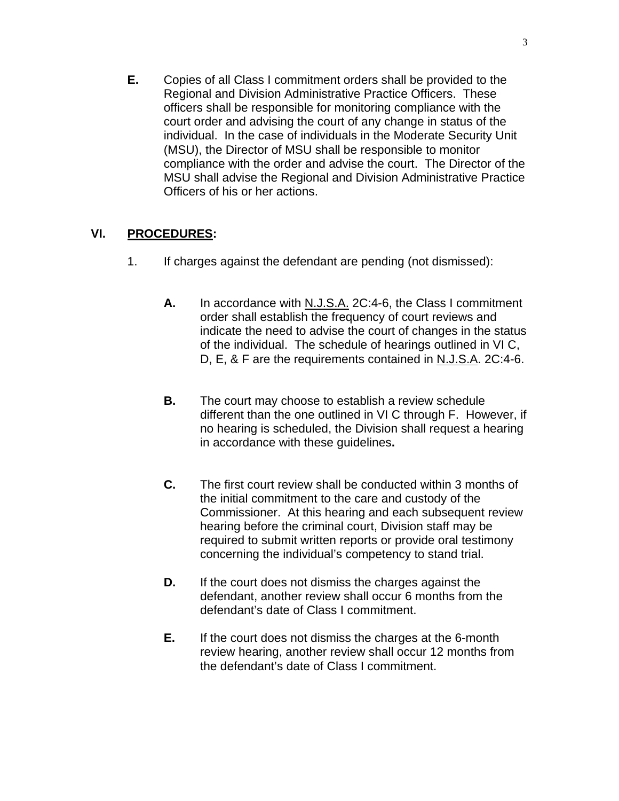**E.** Copies of all Class I commitment orders shall be provided to the Regional and Division Administrative Practice Officers. These officers shall be responsible for monitoring compliance with the court order and advising the court of any change in status of the individual. In the case of individuals in the Moderate Security Unit (MSU), the Director of MSU shall be responsible to monitor compliance with the order and advise the court. The Director of the MSU shall advise the Regional and Division Administrative Practice Officers of his or her actions.

# **VI. PROCEDURES:**

- 1. If charges against the defendant are pending (not dismissed):
	- **A.** In accordance with N.J.S.A. 2C:4-6, the Class I commitment order shall establish the frequency of court reviews and indicate the need to advise the court of changes in the status of the individual. The schedule of hearings outlined in VI C, D, E, & F are the requirements contained in N.J.S.A. 2C:4-6.
	- **B.** The court may choose to establish a review schedule different than the one outlined in VI C through F. However, if no hearing is scheduled, the Division shall request a hearing in accordance with these guidelines**.**
	- **C.** The first court review shall be conducted within 3 months of the initial commitment to the care and custody of the Commissioner. At this hearing and each subsequent review hearing before the criminal court, Division staff may be required to submit written reports or provide oral testimony concerning the individual's competency to stand trial.
	- **D.** If the court does not dismiss the charges against the defendant, another review shall occur 6 months from the defendant's date of Class I commitment.
	- **E.** If the court does not dismiss the charges at the 6-month review hearing, another review shall occur 12 months from the defendant's date of Class I commitment.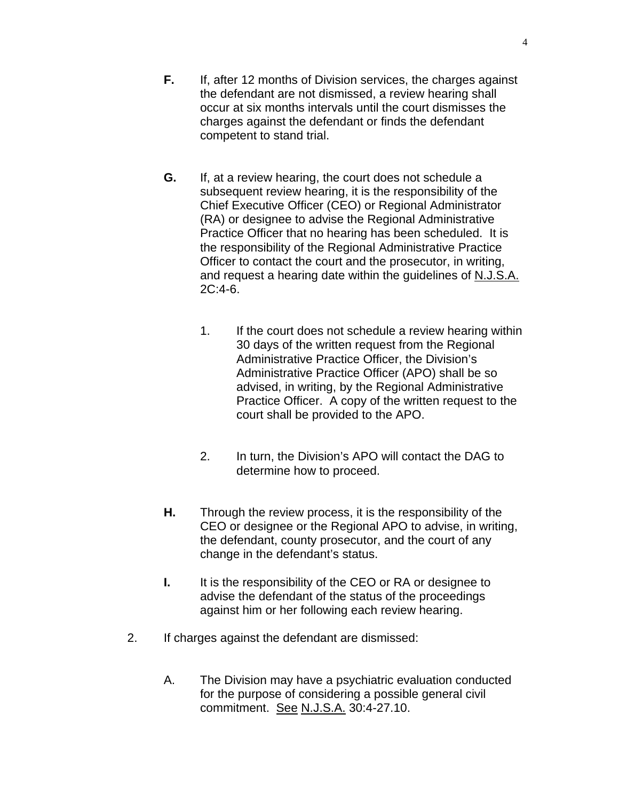4

- **F.** If, after 12 months of Division services, the charges against the defendant are not dismissed, a review hearing shall occur at six months intervals until the court dismisses the charges against the defendant or finds the defendant competent to stand trial.
- **G.** If, at a review hearing, the court does not schedule a subsequent review hearing, it is the responsibility of the Chief Executive Officer (CEO) or Regional Administrator (RA) or designee to advise the Regional Administrative Practice Officer that no hearing has been scheduled. It is the responsibility of the Regional Administrative Practice Officer to contact the court and the prosecutor, in writing, and request a hearing date within the guidelines of N.J.S.A. 2C:4-6.
	- 1. If the court does not schedule a review hearing within 30 days of the written request from the Regional Administrative Practice Officer, the Division's Administrative Practice Officer (APO) shall be so advised, in writing, by the Regional Administrative Practice Officer. A copy of the written request to the court shall be provided to the APO.
	- 2. In turn, the Division's APO will contact the DAG to determine how to proceed.
- **H.** Through the review process, it is the responsibility of the CEO or designee or the Regional APO to advise, in writing, the defendant, county prosecutor, and the court of any change in the defendant's status.
- **I.** It is the responsibility of the CEO or RA or designee to advise the defendant of the status of the proceedings against him or her following each review hearing.
- 2. If charges against the defendant are dismissed:
	- A. The Division may have a psychiatric evaluation conducted for the purpose of considering a possible general civil commitment. See N.J.S.A. 30:4-27.10.